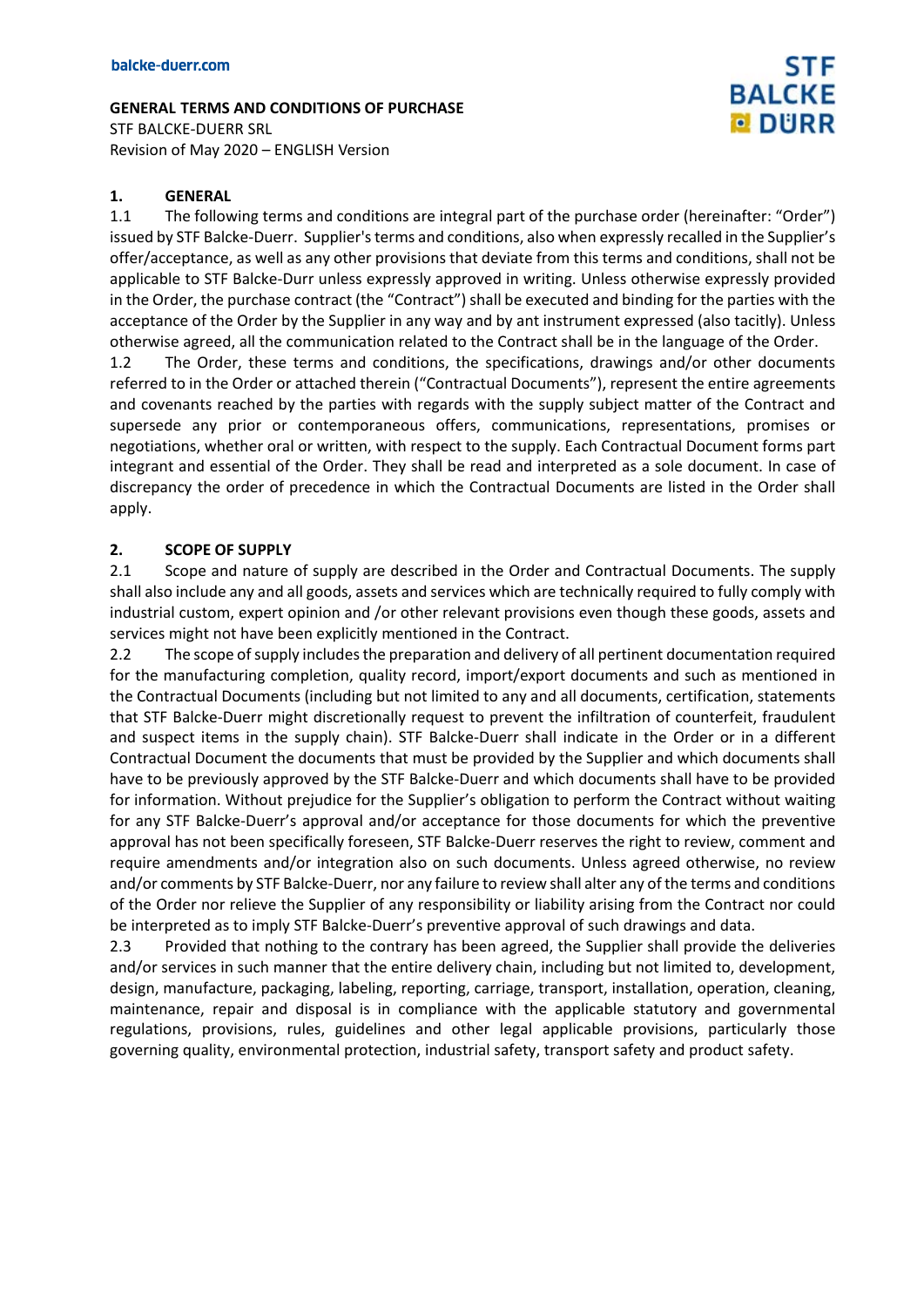**GENERAL TERMS AND CONDITIONS OF PURCHASE** STF BALCKE-DUERR SRL

Revision of May 2020 – ENGLISH Version

#### **1. GENERAL**

1.1 The following terms and conditions are integral part of the purchase order (hereinafter: "Order") issued by STF Balcke-Duerr. Supplier's terms and conditions, also when expressly recalled in the Supplier's offer/acceptance, as well as any other provisions that deviate from this terms and conditions, shall not be applicable to STF Balcke-Durr unless expressly approved in writing. Unless otherwise expressly provided in the Order, the purchase contract (the "Contract") shall be executed and binding for the parties with the acceptance of the Order by the Supplier in any way and by ant instrument expressed (also tacitly). Unless otherwise agreed, all the communication related to the Contract shall be in the language of the Order.

**STF** 

**BALCKE DURR** 

1.2 The Order, these terms and conditions, the specifications, drawings and/or other documents referred to in the Order or attached therein ("Contractual Documents"), represent the entire agreements and covenants reached by the parties with regards with the supply subject matter of the Contract and supersede any prior or contemporaneous offers, communications, representations, promises or negotiations, whether oral or written, with respect to the supply. Each Contractual Document forms part integrant and essential of the Order. They shall be read and interpreted as a sole document. In case of discrepancy the order of precedence in which the Contractual Documents are listed in the Order shall apply.

#### **2. SCOPE OF SUPPLY**

2.1 Scope and nature of supply are described in the Order and Contractual Documents. The supply shall also include any and all goods, assets and services which are technically required to fully comply with industrial custom, expert opinion and /or other relevant provisions even though these goods, assets and services might not have been explicitly mentioned in the Contract.

2.2 The scope of supply includes the preparation and delivery of all pertinent documentation required for the manufacturing completion, quality record, import/export documents and such as mentioned in the Contractual Documents (including but not limited to any and all documents, certification, statements that STF Balcke-Duerr might discretionally request to prevent the infiltration of counterfeit, fraudulent and suspect items in the supply chain). STF Balcke-Duerr shall indicate in the Order or in a different Contractual Document the documents that must be provided by the Supplier and which documents shall have to be previously approved by the STF Balcke-Duerr and which documents shall have to be provided for information. Without prejudice for the Supplier's obligation to perform the Contract without waiting for any STF Balcke-Duerr's approval and/or acceptance for those documents for which the preventive approval has not been specifically foreseen, STF Balcke-Duerr reserves the right to review, comment and require amendments and/or integration also on such documents. Unless agreed otherwise, no review and/or comments by STF Balcke-Duerr, nor any failure to review shall alter any of the terms and conditions of the Order nor relieve the Supplier of any responsibility or liability arising from the Contract nor could be interpreted as to imply STF Balcke-Duerr's preventive approval of such drawings and data.

2.3 Provided that nothing to the contrary has been agreed, the Supplier shall provide the deliveries and/or services in such manner that the entire delivery chain, including but not limited to, development, design, manufacture, packaging, labeling, reporting, carriage, transport, installation, operation, cleaning, maintenance, repair and disposal is in compliance with the applicable statutory and governmental regulations, provisions, rules, guidelines and other legal applicable provisions, particularly those governing quality, environmental protection, industrial safety, transport safety and product safety.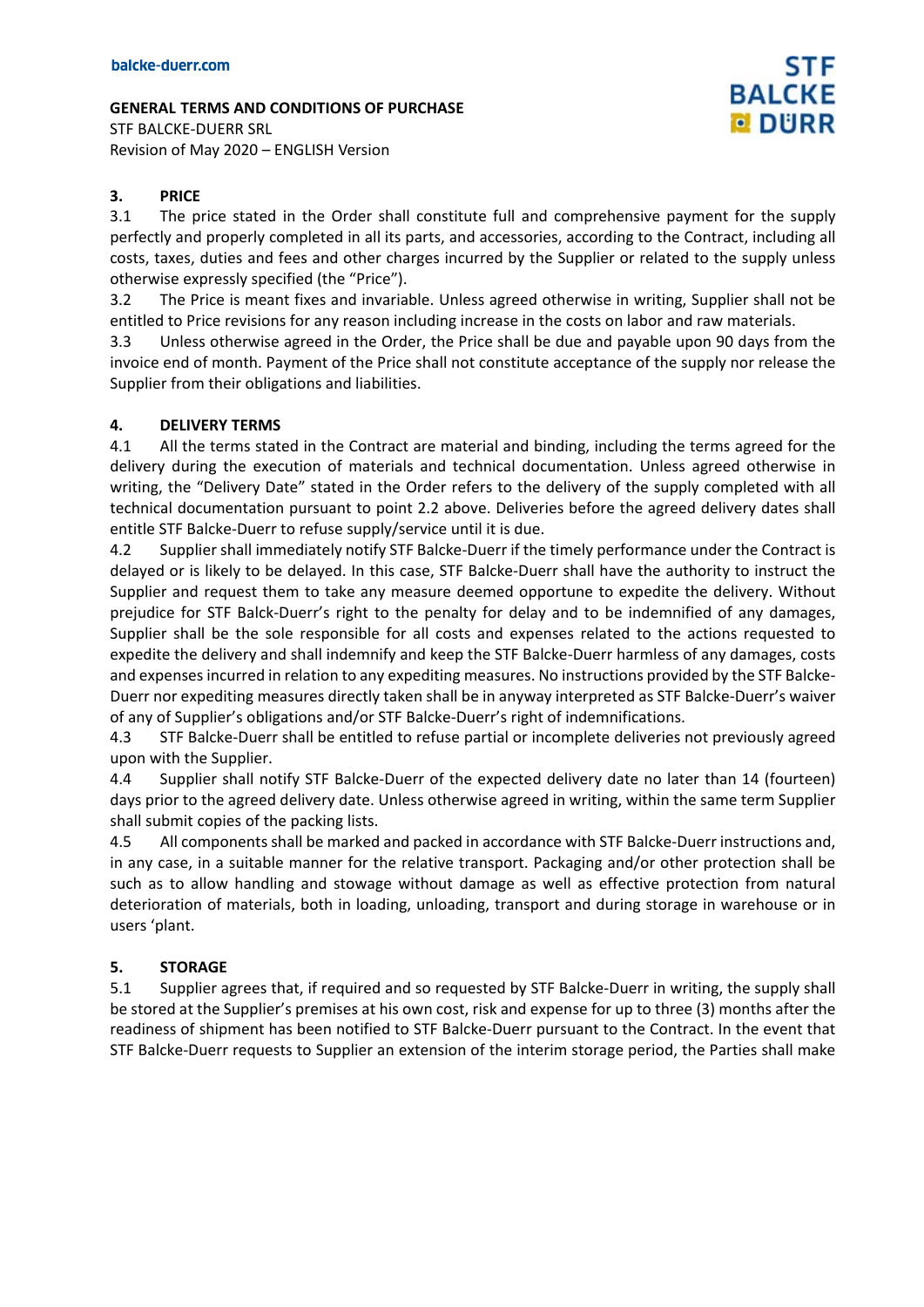STF BALCKE-DUERR SRL Revision of May 2020 – ENGLISH Version

### **3. PRICE**

3.1 The price stated in the Order shall constitute full and comprehensive payment for the supply perfectly and properly completed in all its parts, and accessories, according to the Contract, including all costs, taxes, duties and fees and other charges incurred by the Supplier or related to the supply unless otherwise expressly specified (the "Price").

**STF** 

**BALCKE DURR** 

3.2 The Price is meant fixes and invariable. Unless agreed otherwise in writing, Supplier shall not be entitled to Price revisions for any reason including increase in the costs on labor and raw materials.

3.3 Unless otherwise agreed in the Order, the Price shall be due and payable upon 90 days from the invoice end of month. Payment of the Price shall not constitute acceptance of the supply nor release the Supplier from their obligations and liabilities.

### **4. DELIVERY TERMS**

4.1 All the terms stated in the Contract are material and binding, including the terms agreed for the delivery during the execution of materials and technical documentation. Unless agreed otherwise in writing, the "Delivery Date" stated in the Order refers to the delivery of the supply completed with all technical documentation pursuant to point 2.2 above. Deliveries before the agreed delivery dates shall entitle STF Balcke-Duerr to refuse supply/service until it is due.

4.2 Supplier shall immediately notify STF Balcke-Duerr if the timely performance under the Contract is delayed or is likely to be delayed. In this case, STF Balcke-Duerr shall have the authority to instruct the Supplier and request them to take any measure deemed opportune to expedite the delivery. Without prejudice for STF Balck-Duerr's right to the penalty for delay and to be indemnified of any damages, Supplier shall be the sole responsible for all costs and expenses related to the actions requested to expedite the delivery and shall indemnify and keep the STF Balcke-Duerr harmless of any damages, costs and expenses incurred in relation to any expediting measures. No instructions provided by the STF Balcke-Duerr nor expediting measures directly taken shall be in anyway interpreted as STF Balcke-Duerr's waiver of any of Supplier's obligations and/or STF Balcke-Duerr's right of indemnifications.

4.3 STF Balcke-Duerr shall be entitled to refuse partial or incomplete deliveries not previously agreed upon with the Supplier.

4.4 Supplier shall notify STF Balcke-Duerr of the expected delivery date no later than 14 (fourteen) days prior to the agreed delivery date. Unless otherwise agreed in writing, within the same term Supplier shall submit copies of the packing lists.

4.5 All components shall be marked and packed in accordance with STF Balcke-Duerr instructions and, in any case, in a suitable manner for the relative transport. Packaging and/or other protection shall be such as to allow handling and stowage without damage as well as effective protection from natural deterioration of materials, both in loading, unloading, transport and during storage in warehouse or in users 'plant.

### **5. STORAGE**

5.1 Supplier agrees that, if required and so requested by STF Balcke-Duerr in writing, the supply shall be stored at the Supplier's premises at his own cost, risk and expense for up to three (3) months after the readiness of shipment has been notified to STF Balcke-Duerr pursuant to the Contract. In the event that STF Balcke-Duerr requests to Supplier an extension of the interim storage period, the Parties shall make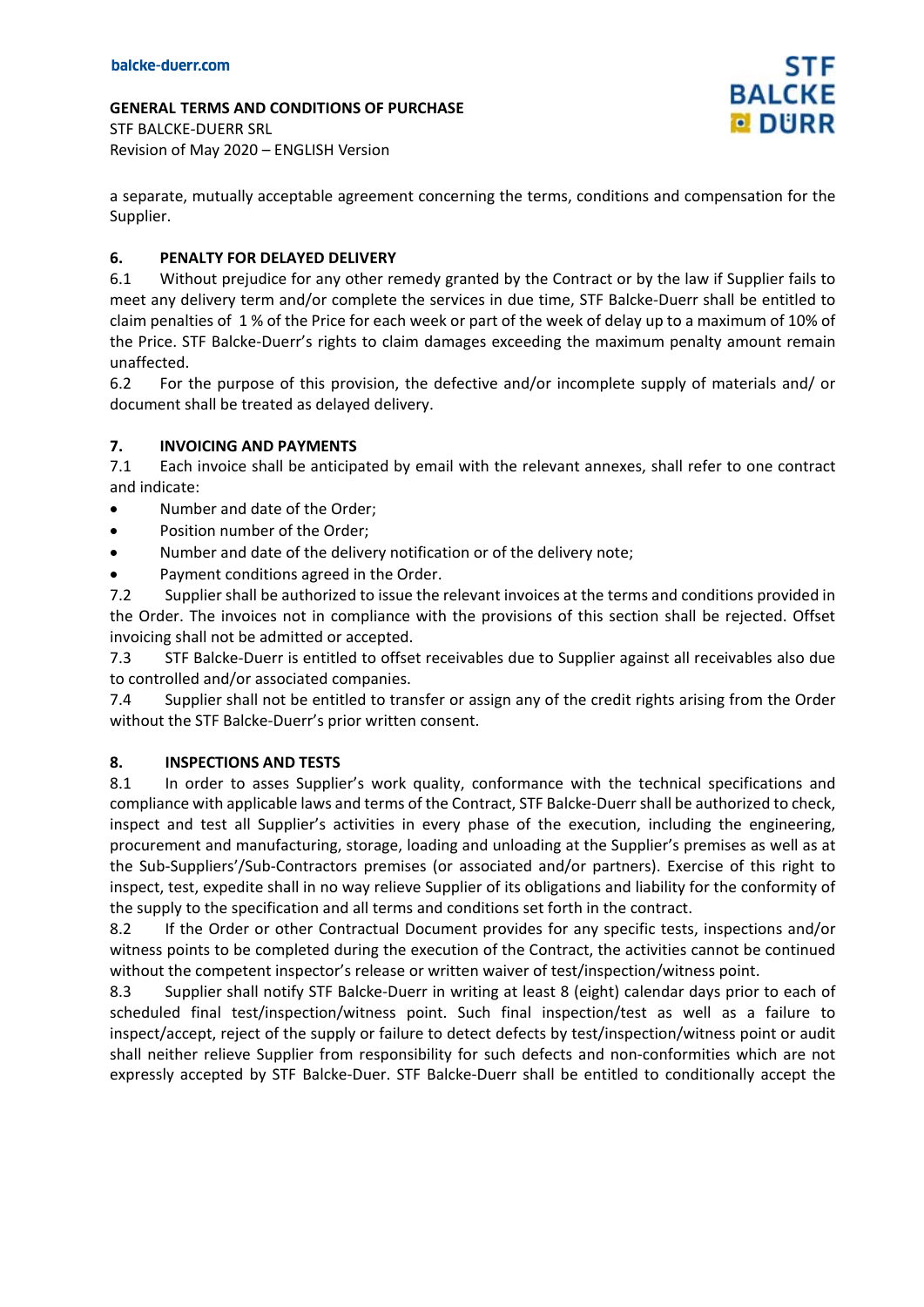**GENERAL TERMS AND CONDITIONS OF PURCHASE** STF BALCKE-DUERR SRL

Revision of May 2020 – ENGLISH Version

a separate, mutually acceptable agreement concerning the terms, conditions and compensation for the Supplier.

## **6. PENALTY FOR DELAYED DELIVERY**

6.1 Without prejudice for any other remedy granted by the Contract or by the law if Supplier fails to meet any delivery term and/or complete the services in due time, STF Balcke-Duerr shall be entitled to claim penalties of 1 % of the Price for each week or part of the week of delay up to a maximum of 10% of the Price. STF Balcke-Duerr's rights to claim damages exceeding the maximum penalty amount remain unaffected.

6.2 For the purpose of this provision, the defective and/or incomplete supply of materials and/ or document shall be treated as delayed delivery.

### **7. INVOICING AND PAYMENTS**

7.1 Each invoice shall be anticipated by email with the relevant annexes, shall refer to one contract and indicate:

- Number and date of the Order;
- Position number of the Order;
- Number and date of the delivery notification or of the delivery note;
- Payment conditions agreed in the Order.

7.2 Supplier shall be authorized to issue the relevant invoices at the terms and conditions provided in the Order. The invoices not in compliance with the provisions of this section shall be rejected. Offset invoicing shall not be admitted or accepted.

7.3 STF Balcke-Duerr is entitled to offset receivables due to Supplier against all receivables also due to controlled and/or associated companies.

7.4 Supplier shall not be entitled to transfer or assign any of the credit rights arising from the Order without the STF Balcke-Duerr's prior written consent.

### **8. INSPECTIONS AND TESTS**

8.1 In order to asses Supplier's work quality, conformance with the technical specifications and compliance with applicable laws and terms of the Contract, STF Balcke-Duerrshall be authorized to check, inspect and test all Supplier's activities in every phase of the execution, including the engineering, procurement and manufacturing, storage, loading and unloading at the Supplier's premises as well as at the Sub-Suppliers'/Sub-Contractors premises (or associated and/or partners). Exercise of this right to inspect, test, expedite shall in no way relieve Supplier of its obligations and liability for the conformity of the supply to the specification and all terms and conditions set forth in the contract.

8.2 If the Order or other Contractual Document provides for any specific tests, inspections and/or witness points to be completed during the execution of the Contract, the activities cannot be continued without the competent inspector's release or written waiver of test/inspection/witness point.

8.3 Supplier shall notify STF Balcke-Duerr in writing at least 8 (eight) calendar days prior to each of scheduled final test/inspection/witness point. Such final inspection/test as well as a failure to inspect/accept, reject of the supply or failure to detect defects by test/inspection/witness point or audit shall neither relieve Supplier from responsibility for such defects and non-conformities which are not expressly accepted by STF Balcke-Duer. STF Balcke-Duerr shall be entitled to conditionally accept the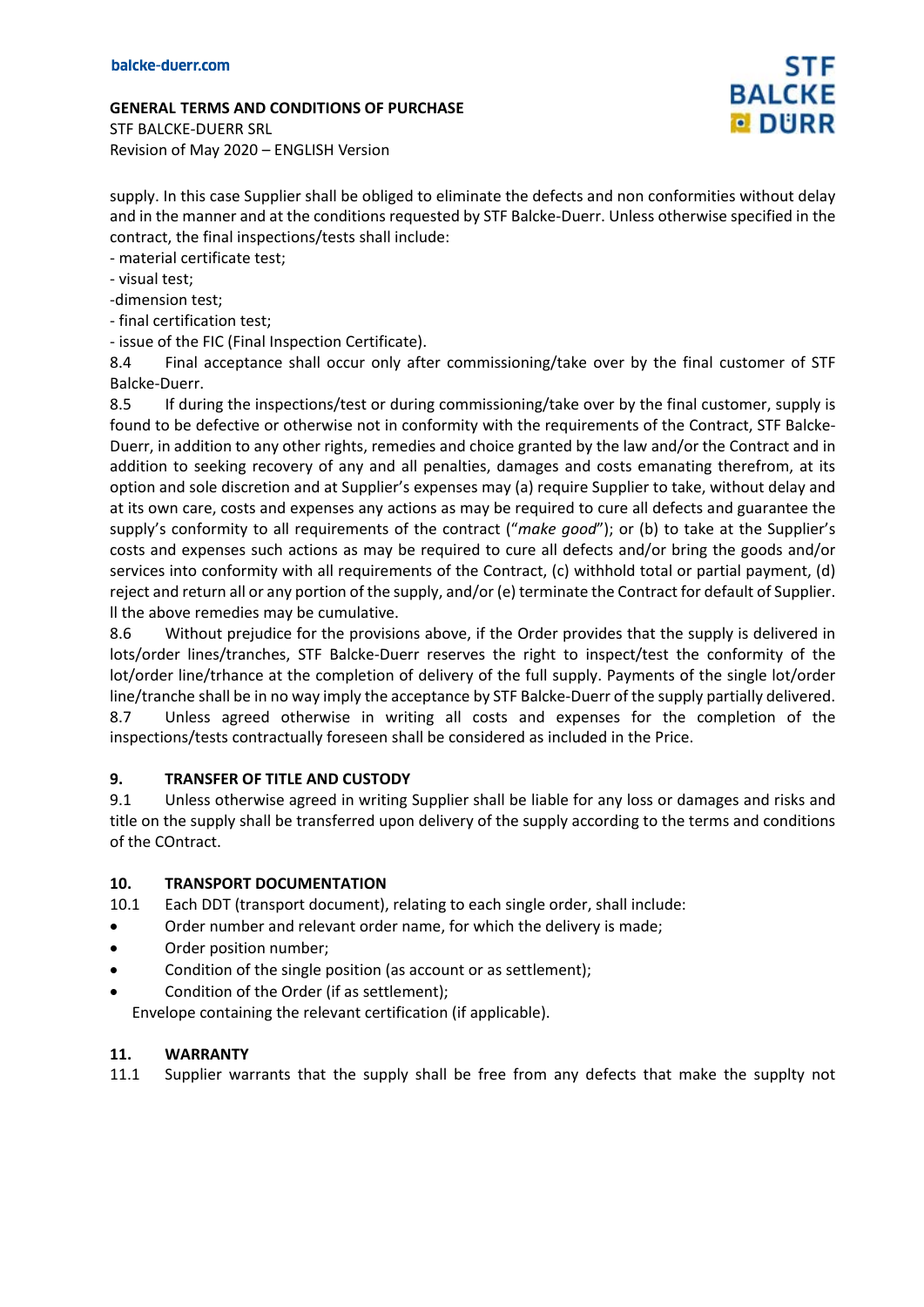STF BALCKE-DUERR SRL Revision of May 2020 – ENGLISH Version

supply. In this case Supplier shall be obliged to eliminate the defects and non conformities without delay and in the manner and at the conditions requested by STF Balcke-Duerr. Unless otherwise specified in the contract, the final inspections/tests shall include:

- material certificate test;

- visual test;

-dimension test;

- final certification test;

- issue of the FIC (Final Inspection Certificate).

8.4 Final acceptance shall occur only after commissioning/take over by the final customer of STF Balcke-Duerr.

8.5 If during the inspections/test or during commissioning/take over by the final customer, supply is found to be defective or otherwise not in conformity with the requirements of the Contract, STF Balcke-Duerr, in addition to any other rights, remedies and choice granted by the law and/or the Contract and in addition to seeking recovery of any and all penalties, damages and costs emanating therefrom, at its option and sole discretion and at Supplier's expenses may (a) require Supplier to take, without delay and at its own care, costs and expenses any actions as may be required to cure all defects and guarantee the supply's conformity to all requirements of the contract ("*make good*"); or (b) to take at the Supplier's costs and expenses such actions as may be required to cure all defects and/or bring the goods and/or services into conformity with all requirements of the Contract, (c) withhold total or partial payment, (d) reject and return all or any portion of the supply, and/or (e) terminate the Contract for default of Supplier. ll the above remedies may be cumulative.

8.6 Without prejudice for the provisions above, if the Order provides that the supply is delivered in lots/order lines/tranches, STF Balcke-Duerr reserves the right to inspect/test the conformity of the lot/order line/trhance at the completion of delivery of the full supply. Payments of the single lot/order line/tranche shall be in no way imply the acceptance by STF Balcke-Duerr of the supply partially delivered. 8.7 Unless agreed otherwise in writing all costs and expenses for the completion of the inspections/tests contractually foreseen shall be considered as included in the Price.

### **9. TRANSFER OF TITLE AND CUSTODY**

9.1 Unless otherwise agreed in writing Supplier shall be liable for any loss or damages and risks and title on the supply shall be transferred upon delivery of the supply according to the terms and conditions of the COntract.

### **10. TRANSPORT DOCUMENTATION**

10.1 Each DDT (transport document), relating to each single order, shall include:

- Order number and relevant order name, for which the delivery is made;
- Order position number;
- Condition of the single position (as account or as settlement);
- Condition of the Order (if as settlement);

Envelope containing the relevant certification (if applicable).

### **11. WARRANTY**

11.1 Supplier warrants that the supply shall be free from any defects that make the supplty not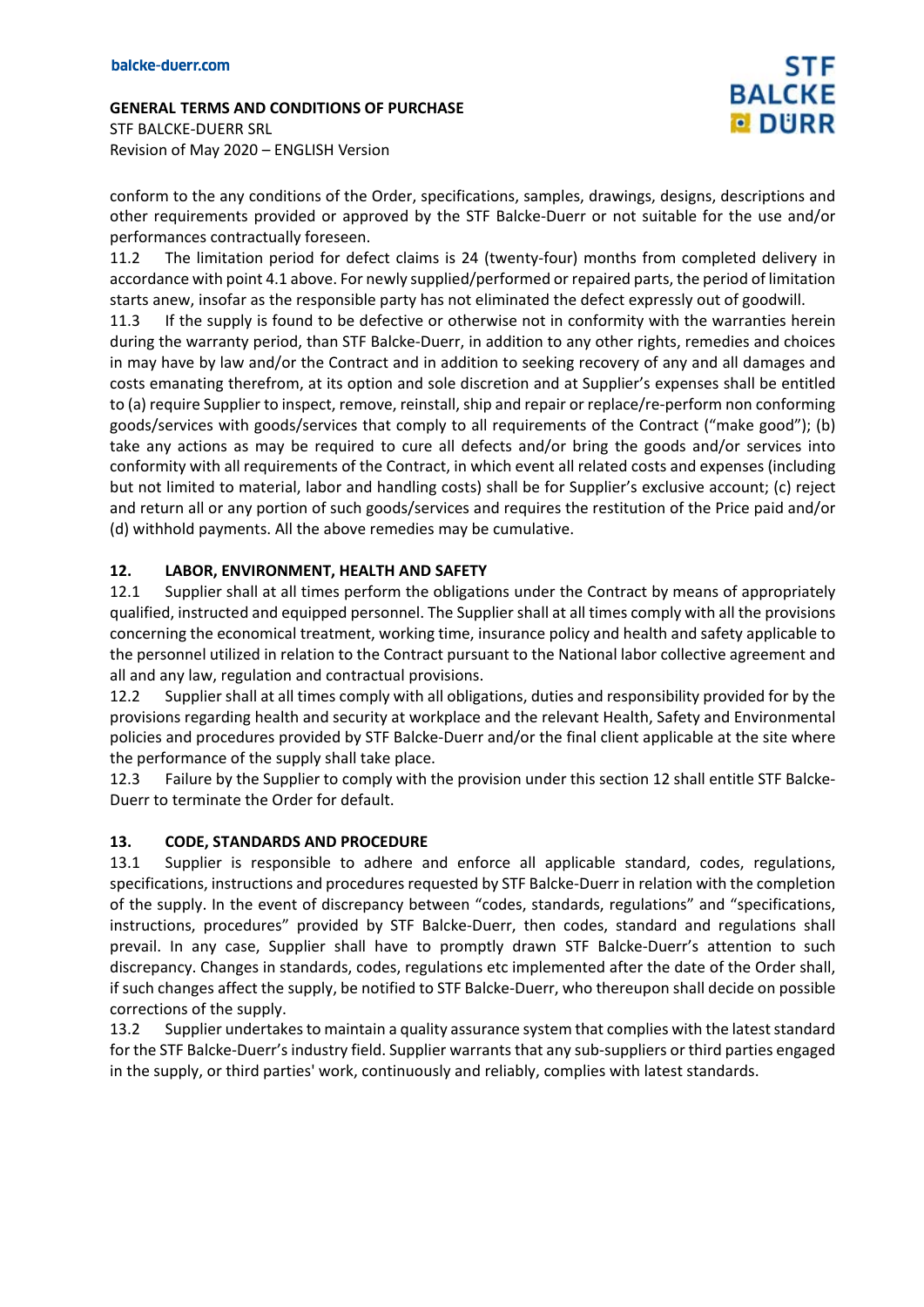**GENERAL TERMS AND CONDITIONS OF PURCHASE** STF BALCKE-DUERR SRL Revision of May 2020 – ENGLISH Version

conform to the any conditions of the Order, specifications, samples, drawings, designs, descriptions and other requirements provided or approved by the STF Balcke-Duerr or not suitable for the use and/or performances contractually foreseen.

11.2 The limitation period for defect claims is 24 (twenty-four) months from completed delivery in accordance with point 4.1 above. For newly supplied/performed or repaired parts, the period of limitation starts anew, insofar as the responsible party has not eliminated the defect expressly out of goodwill.

11.3 If the supply is found to be defective or otherwise not in conformity with the warranties herein during the warranty period, than STF Balcke-Duerr, in addition to any other rights, remedies and choices in may have by law and/or the Contract and in addition to seeking recovery of any and all damages and costs emanating therefrom, at its option and sole discretion and at Supplier's expenses shall be entitled to (a) require Supplier to inspect, remove, reinstall, ship and repair or replace/re-perform non conforming goods/services with goods/services that comply to all requirements of the Contract ("make good"); (b) take any actions as may be required to cure all defects and/or bring the goods and/or services into conformity with all requirements of the Contract, in which event all related costs and expenses (including but not limited to material, labor and handling costs) shall be for Supplier's exclusive account; (c) reject and return all or any portion of such goods/services and requires the restitution of the Price paid and/or (d) withhold payments. All the above remedies may be cumulative.

### **12. LABOR, ENVIRONMENT, HEALTH AND SAFETY**

12.1 Supplier shall at all times perform the obligations under the Contract by means of appropriately qualified, instructed and equipped personnel. The Supplier shall at all times comply with all the provisions concerning the economical treatment, working time, insurance policy and health and safety applicable to the personnel utilized in relation to the Contract pursuant to the National labor collective agreement and all and any law, regulation and contractual provisions.

12.2 Supplier shall at all times comply with all obligations, duties and responsibility provided for by the provisions regarding health and security at workplace and the relevant Health, Safety and Environmental policies and procedures provided by STF Balcke-Duerr and/or the final client applicable at the site where the performance of the supply shall take place.

12.3 Failure by the Supplier to comply with the provision under this section 12 shall entitle STF Balcke-Duerr to terminate the Order for default.

### **13. CODE, STANDARDS AND PROCEDURE**

13.1 Supplier is responsible to adhere and enforce all applicable standard, codes, regulations, specifications, instructions and procedures requested by STF Balcke-Duerr in relation with the completion of the supply. In the event of discrepancy between "codes, standards, regulations" and "specifications, instructions, procedures" provided by STF Balcke-Duerr, then codes, standard and regulations shall prevail. In any case, Supplier shall have to promptly drawn STF Balcke-Duerr's attention to such discrepancy. Changes in standards, codes, regulations etc implemented after the date of the Order shall, if such changes affect the supply, be notified to STF Balcke-Duerr, who thereupon shall decide on possible corrections of the supply.

13.2 Supplier undertakes to maintain a quality assurance system that complies with the latest standard for the STF Balcke-Duerr's industry field. Supplier warrants that any sub-suppliers or third parties engaged in the supply, or third parties' work, continuously and reliably, complies with latest standards.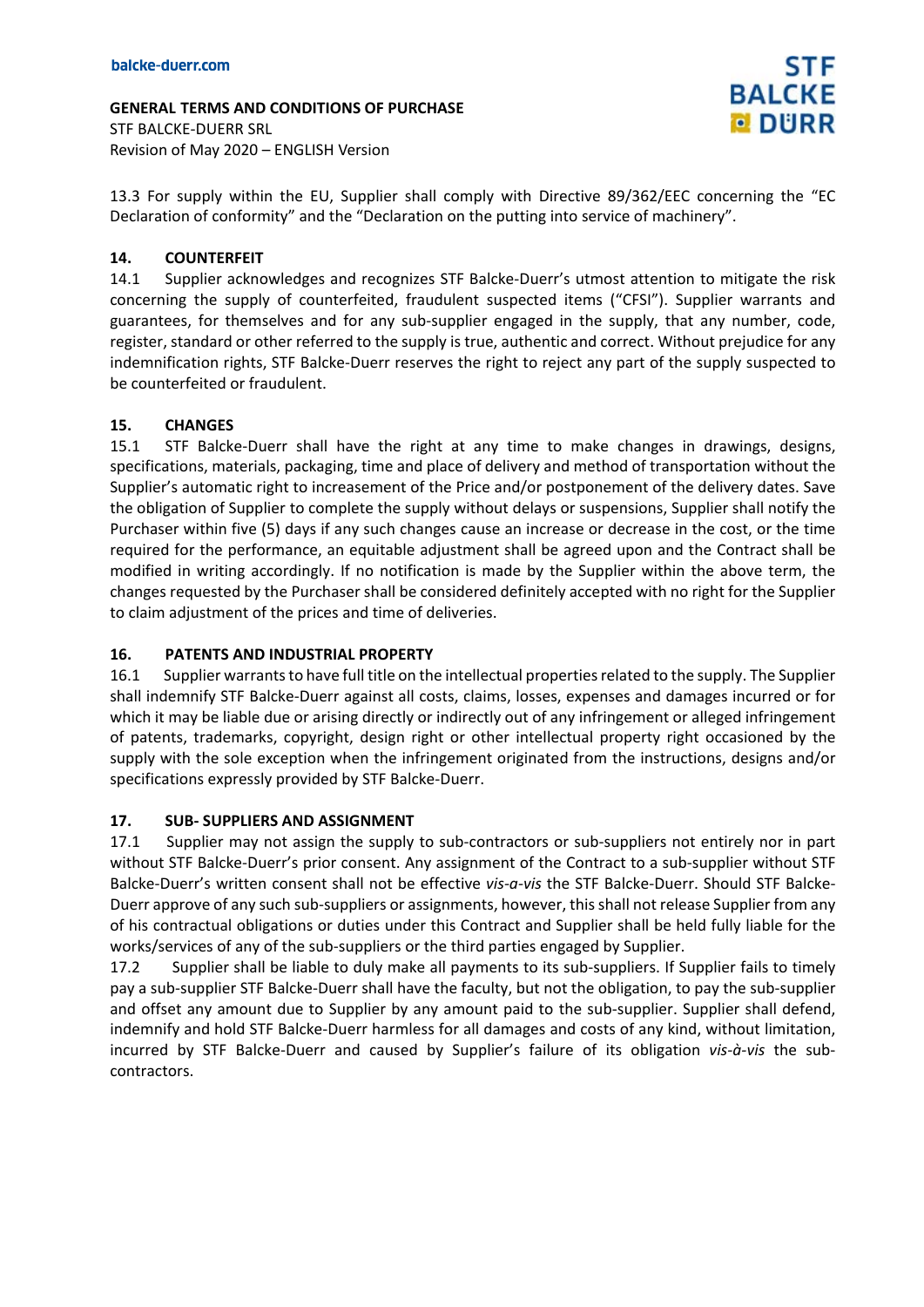**GENERAL TERMS AND CONDITIONS OF PURCHASE** STF BALCKE-DUERR SRL Revision of May 2020 – ENGLISH Version

13.3 For supply within the EU, Supplier shall comply with Directive 89/362/EEC concerning the "EC Declaration of conformity" and the "Declaration on the putting into service of machinery".

#### **14. COUNTERFEIT**

14.1 Supplier acknowledges and recognizes STF Balcke-Duerr's utmost attention to mitigate the risk concerning the supply of counterfeited, fraudulent suspected items ("CFSI"). Supplier warrants and guarantees, for themselves and for any sub-supplier engaged in the supply, that any number, code, register, standard or other referred to the supply is true, authentic and correct. Without prejudice for any indemnification rights, STF Balcke-Duerr reserves the right to reject any part of the supply suspected to be counterfeited or fraudulent.

#### **15. CHANGES**

15.1 STF Balcke-Duerr shall have the right at any time to make changes in drawings, designs, specifications, materials, packaging, time and place of delivery and method of transportation without the Supplier's automatic right to increasement of the Price and/or postponement of the delivery dates. Save the obligation of Supplier to complete the supply without delays or suspensions, Supplier shall notify the Purchaser within five (5) days if any such changes cause an increase or decrease in the cost, or the time required for the performance, an equitable adjustment shall be agreed upon and the Contract shall be modified in writing accordingly. If no notification is made by the Supplier within the above term, the changes requested by the Purchaser shall be considered definitely accepted with no right for the Supplier to claim adjustment of the prices and time of deliveries.

#### **16. PATENTS AND INDUSTRIAL PROPERTY**

16.1 Supplier warrants to have full title on the intellectual properties related to the supply. The Supplier shall indemnify STF Balcke-Duerr against all costs, claims, losses, expenses and damages incurred or for which it may be liable due or arising directly or indirectly out of any infringement or alleged infringement of patents, trademarks, copyright, design right or other intellectual property right occasioned by the supply with the sole exception when the infringement originated from the instructions, designs and/or specifications expressly provided by STF Balcke-Duerr.

#### **17. SUB- SUPPLIERS AND ASSIGNMENT**

17.1 Supplier may not assign the supply to sub-contractors or sub-suppliers not entirely nor in part without STF Balcke-Duerr's prior consent. Any assignment of the Contract to a sub-supplier without STF Balcke-Duerr's written consent shall not be effective *vis-a-vis* the STF Balcke-Duerr. Should STF Balcke-Duerr approve of any such sub-suppliers or assignments, however, this shall not release Supplier from any of his contractual obligations or duties under this Contract and Supplier shall be held fully liable for the works/services of any of the sub-suppliers or the third parties engaged by Supplier.

17.2 Supplier shall be liable to duly make all payments to its sub-suppliers. If Supplier fails to timely pay a sub-supplier STF Balcke-Duerr shall have the faculty, but not the obligation, to pay the sub-supplier and offset any amount due to Supplier by any amount paid to the sub-supplier. Supplier shall defend, indemnify and hold STF Balcke-Duerr harmless for all damages and costs of any kind, without limitation, incurred by STF Balcke-Duerr and caused by Supplier's failure of its obligation *vis-à-vis* the subcontractors.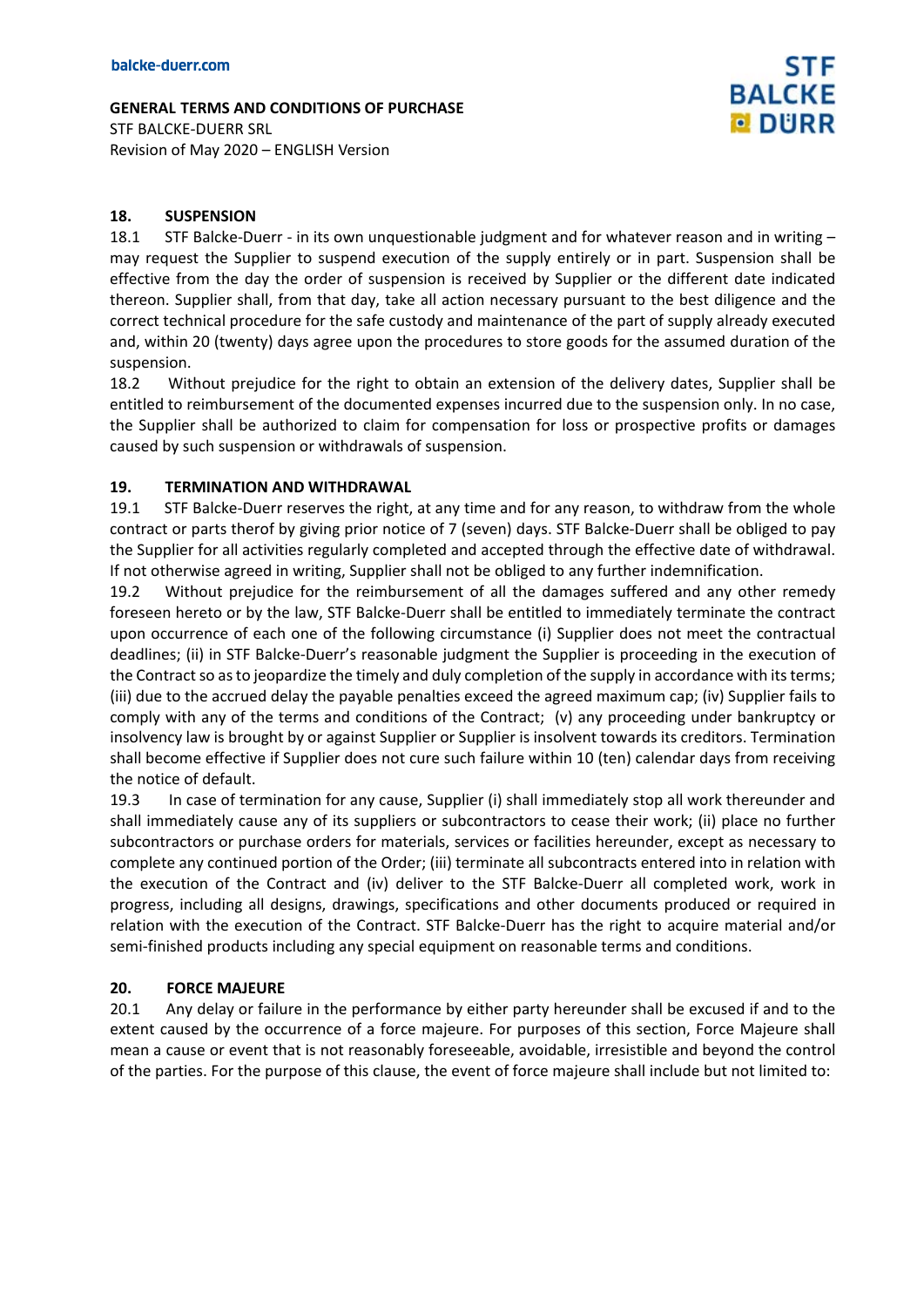STF BALCKE-DUERR SRL Revision of May 2020 – ENGLISH Version

### **18. SUSPENSION**

18.1 STF Balcke-Duerr - in its own unquestionable judgment and for whatever reason and in writing – may request the Supplier to suspend execution of the supply entirely or in part. Suspension shall be effective from the day the order of suspension is received by Supplier or the different date indicated thereon. Supplier shall, from that day, take all action necessary pursuant to the best diligence and the correct technical procedure for the safe custody and maintenance of the part of supply already executed and, within 20 (twenty) days agree upon the procedures to store goods for the assumed duration of the suspension.

18.2 Without prejudice for the right to obtain an extension of the delivery dates, Supplier shall be entitled to reimbursement of the documented expenses incurred due to the suspension only. In no case, the Supplier shall be authorized to claim for compensation for loss or prospective profits or damages caused by such suspension or withdrawals of suspension.

#### **19. TERMINATION AND WITHDRAWAL**

19.1 STF Balcke-Duerr reserves the right, at any time and for any reason, to withdraw from the whole contract or parts therof by giving prior notice of 7 (seven) days. STF Balcke-Duerr shall be obliged to pay the Supplier for all activities regularly completed and accepted through the effective date of withdrawal. If not otherwise agreed in writing, Supplier shall not be obliged to any further indemnification.

19.2 Without prejudice for the reimbursement of all the damages suffered and any other remedy foreseen hereto or by the law, STF Balcke-Duerr shall be entitled to immediately terminate the contract upon occurrence of each one of the following circumstance (i) Supplier does not meet the contractual deadlines; (ii) in STF Balcke-Duerr's reasonable judgment the Supplier is proceeding in the execution of the Contract so as to jeopardize the timely and duly completion of the supply in accordance with its terms; (iii) due to the accrued delay the payable penalties exceed the agreed maximum cap; (iv) Supplier fails to comply with any of the terms and conditions of the Contract; (v) any proceeding under bankruptcy or insolvency law is brought by or against Supplier or Supplier is insolvent towards its creditors. Termination shall become effective if Supplier does not cure such failure within 10 (ten) calendar days from receiving the notice of default.

19.3 In case of termination for any cause, Supplier (i) shall immediately stop all work thereunder and shall immediately cause any of its suppliers or subcontractors to cease their work; (ii) place no further subcontractors or purchase orders for materials, services or facilities hereunder, except as necessary to complete any continued portion of the Order; (iii) terminate all subcontracts entered into in relation with the execution of the Contract and (iv) deliver to the STF Balcke-Duerr all completed work, work in progress, including all designs, drawings, specifications and other documents produced or required in relation with the execution of the Contract. STF Balcke-Duerr has the right to acquire material and/or semi-finished products including any special equipment on reasonable terms and conditions.

#### **20. FORCE MAJEURE**

20.1 Any delay or failure in the performance by either party hereunder shall be excused if and to the extent caused by the occurrence of a force majeure. For purposes of this section, Force Majeure shall mean a cause or event that is not reasonably foreseeable, avoidable, irresistible and beyond the control of the parties. For the purpose of this clause, the event of force majeure shall include but not limited to: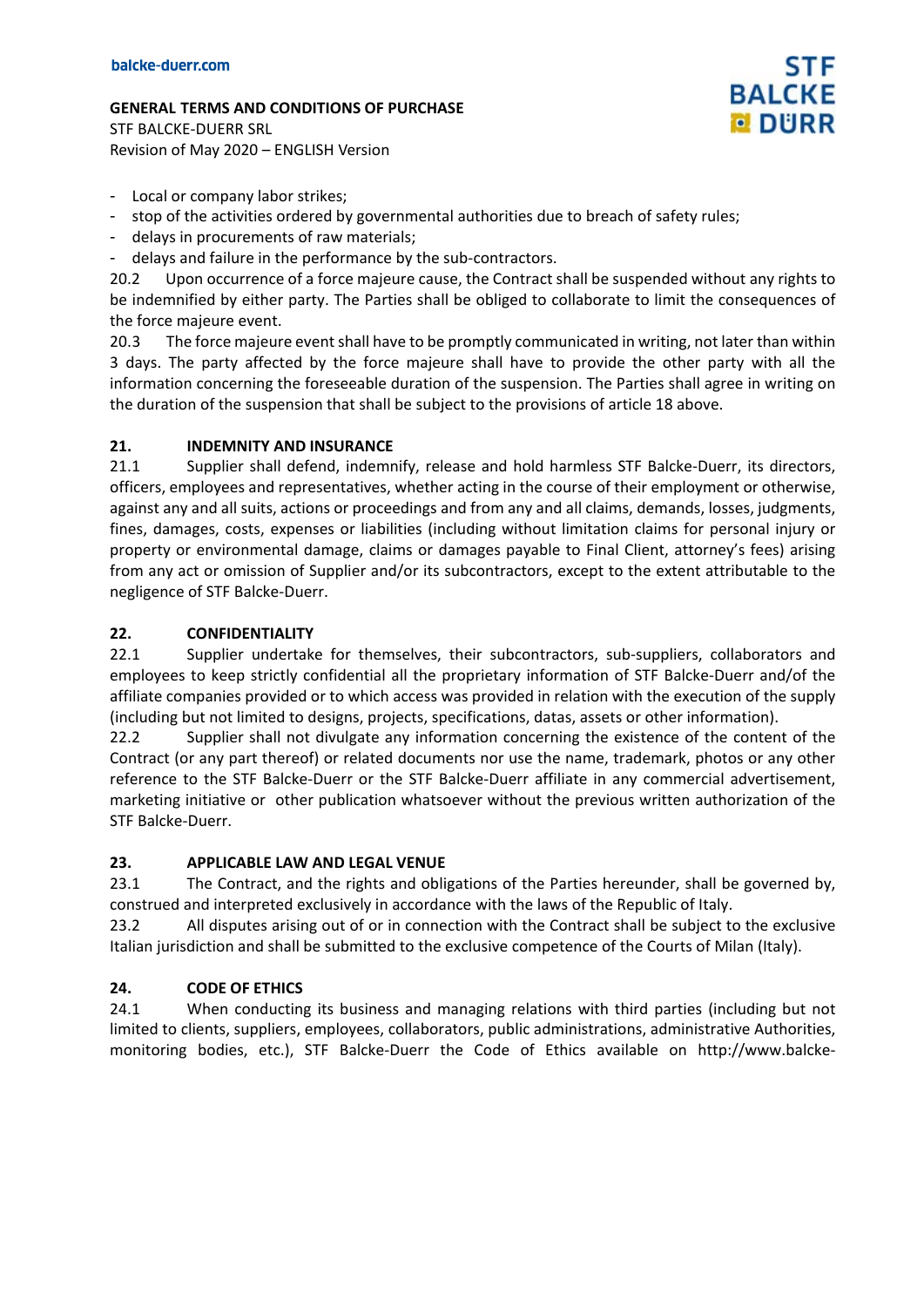STF BALCKE-DUERR SRL Revision of May 2020 – ENGLISH Version

- Local or company labor strikes;
- stop of the activities ordered by governmental authorities due to breach of safety rules;
- delays in procurements of raw materials;
- delays and failure in the performance by the sub-contractors.

20.2 Upon occurrence of a force majeure cause, the Contract shall be suspended without any rights to be indemnified by either party. The Parties shall be obliged to collaborate to limit the consequences of the force majeure event.

STF

**BALCKE DURR** 

20.3 The force majeure event shall have to be promptly communicated in writing, not later than within 3 days. The party affected by the force majeure shall have to provide the other party with all the information concerning the foreseeable duration of the suspension. The Parties shall agree in writing on the duration of the suspension that shall be subject to the provisions of article 18 above.

## **21. INDEMNITY AND INSURANCE**

21.1 Supplier shall defend, indemnify, release and hold harmless STF Balcke-Duerr, its directors, officers, employees and representatives, whether acting in the course of their employment or otherwise, against any and all suits, actions or proceedings and from any and all claims, demands, losses, judgments, fines, damages, costs, expenses or liabilities (including without limitation claims for personal injury or property or environmental damage, claims or damages payable to Final Client, attorney's fees) arising from any act or omission of Supplier and/or its subcontractors, except to the extent attributable to the negligence of STF Balcke-Duerr.

## **22. CONFIDENTIALITY**

22.1 Supplier undertake for themselves, their subcontractors, sub-suppliers, collaborators and employees to keep strictly confidential all the proprietary information of STF Balcke-Duerr and/of the affiliate companies provided or to which access was provided in relation with the execution of the supply (including but not limited to designs, projects, specifications, datas, assets or other information).

22.2 Supplier shall not divulgate any information concerning the existence of the content of the Contract (or any part thereof) or related documents nor use the name, trademark, photos or any other reference to the STF Balcke-Duerr or the STF Balcke-Duerr affiliate in any commercial advertisement, marketing initiative or other publication whatsoever without the previous written authorization of the STF Balcke-Duerr.

### **23. APPLICABLE LAW AND LEGAL VENUE**

23.1 The Contract, and the rights and obligations of the Parties hereunder, shall be governed by, construed and interpreted exclusively in accordance with the laws of the Republic of Italy.

23.2 All disputes arising out of or in connection with the Contract shall be subject to the exclusive Italian jurisdiction and shall be submitted to the exclusive competence of the Courts of Milan (Italy).

# **24. CODE OF ETHICS**

24.1 When conducting its business and managing relations with third parties (including but not limited to clients, suppliers, employees, collaborators, public administrations, administrative Authorities, monitoring bodies, etc.), STF Balcke-Duerr the Code of Ethics available on http://www.balcke